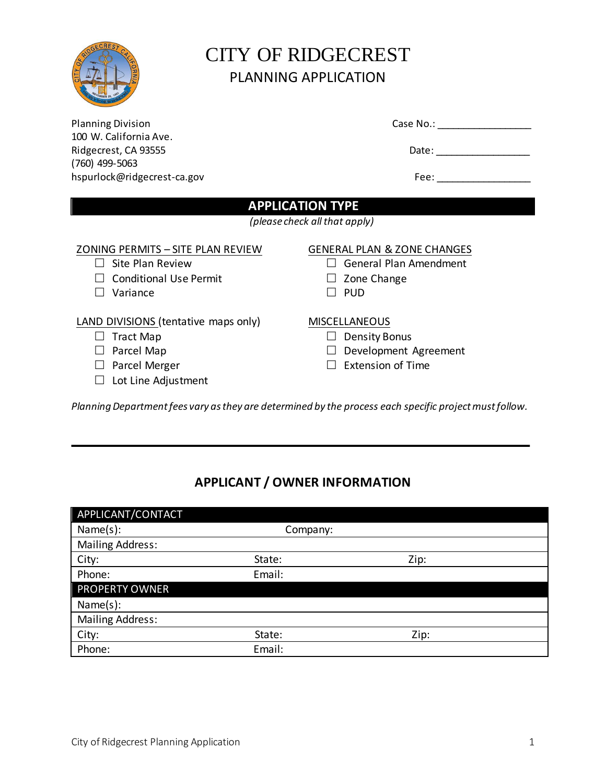

# CITY OF RIDGECREST PLANNING APPLICATION

| <b>Planning Division</b>             | Case No.: ________                     |
|--------------------------------------|----------------------------------------|
| 100 W. California Ave.               |                                        |
| Ridgecrest, CA 93555                 | Date: _________________                |
| $(760)$ 499-5063                     |                                        |
| hspurlock@ridgecrest-ca.gov          | Fee: $\frac{1}{2}$                     |
|                                      | <b>APPLICATION TYPE</b>                |
|                                      | (please check all that apply)          |
| ZONING PERMITS - SITE PLAN REVIEW    | <b>GENERAL PLAN &amp; ZONE CHANGES</b> |
| Site Plan Review<br>$\Box$           | General Plan Amendment                 |
| <b>Conditional Use Permit</b>        | Zone Change                            |
| Variance                             | <b>PUD</b>                             |
| LAND DIVISIONS (tentative maps only) | <b>MISCELLANEOUS</b>                   |
| <b>Tract Map</b>                     | <b>Density Bonus</b>                   |
| Parcel Map                           | Development Agreement                  |
| Parcel Merger                        | <b>Extension of Time</b>               |

# □ Lot Line Adjustment

*Planning Department fees vary as they are determined by the process each specific project must follow.* 

# **APPLICANT / OWNER INFORMATION**

| APPLICANT/CONTACT       |          |      |
|-------------------------|----------|------|
| Name(s):                | Company: |      |
| <b>Mailing Address:</b> |          |      |
| City:                   | State:   | Zip: |
| Phone:                  | Email:   |      |
| <b>PROPERTY OWNER</b>   |          |      |
| Name(s):                |          |      |
| Mailing Address:        |          |      |
| City:                   | State:   | Zip: |
| Phone:                  | Email:   |      |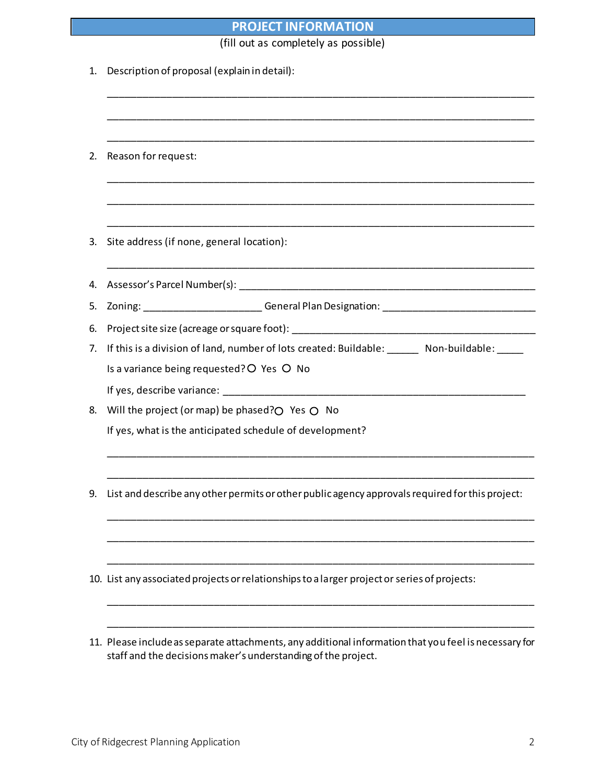# **PROJECT INFORMATION**

(fill out as completely as possible)

| 1. | Description of proposal (explain in detail):                                                          |  |
|----|-------------------------------------------------------------------------------------------------------|--|
|    |                                                                                                       |  |
| 2. | Reason for request:                                                                                   |  |
|    |                                                                                                       |  |
| 3. | Site address (if none, general location):                                                             |  |
| 4. |                                                                                                       |  |
| 5. | Zoning: __________________________General Plan Designation: ____________________________              |  |
| 6. |                                                                                                       |  |
| 7. | If this is a division of land, number of lots created: Buildable: _______ Non-buildable: _____        |  |
|    | Is a variance being requested? O Yes O No                                                             |  |
|    |                                                                                                       |  |
| 8. | Will the project (or map) be phased? $O$ Yes $O$ No                                                   |  |
|    | If yes, what is the anticipated schedule of development?                                              |  |
|    |                                                                                                       |  |
| 9. | List and describe any other permits or other public agency approvals required for this project:       |  |
|    |                                                                                                       |  |
|    | 10. List any associated projects or relationships to a larger project or series of projects:          |  |
|    | 11. Please include as separate attachments, any additional information that you feel is necessary for |  |
|    | staff and the decisions maker's understanding of the project.                                         |  |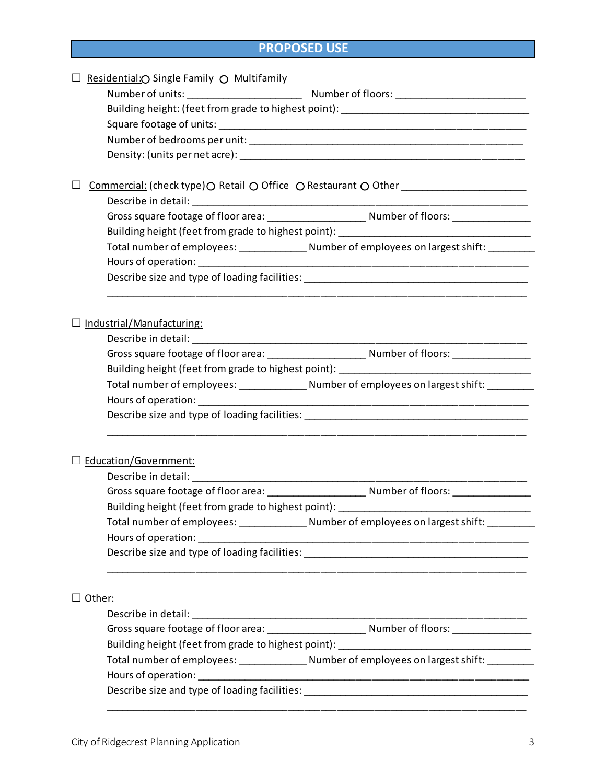# **PROPOSED USE**

| Residential: O Single Family O Multifamily |                                                                                                     |
|--------------------------------------------|-----------------------------------------------------------------------------------------------------|
|                                            |                                                                                                     |
|                                            | Building height: (feet from grade to highest point): ___________________________                    |
|                                            |                                                                                                     |
|                                            |                                                                                                     |
|                                            |                                                                                                     |
|                                            |                                                                                                     |
|                                            | Commercial: (check type) $\bigcirc$ Retail $\bigcirc$ Office $\bigcirc$ Restaurant $\bigcirc$ Other |
|                                            |                                                                                                     |
|                                            |                                                                                                     |
|                                            | Building height (feet from grade to highest point): ____________________________                    |
|                                            |                                                                                                     |
|                                            |                                                                                                     |
|                                            | Describe size and type of loading facilities: __________________________________                    |
|                                            |                                                                                                     |
|                                            |                                                                                                     |
| Industrial/Manufacturing:                  |                                                                                                     |
|                                            |                                                                                                     |
|                                            |                                                                                                     |
|                                            | Building height (feet from grade to highest point): ____________________________                    |
|                                            | Total number of employees: _________________ Number of employees on largest shift: ________         |
|                                            |                                                                                                     |
|                                            | Describe size and type of loading facilities: __________________________________                    |
|                                            |                                                                                                     |
| Education/Government:                      |                                                                                                     |
|                                            |                                                                                                     |
|                                            |                                                                                                     |
|                                            | Building height (feet from grade to highest point): ____________________________                    |
|                                            |                                                                                                     |
|                                            |                                                                                                     |
|                                            | Describe size and type of loading facilities: ___________________________________                   |
|                                            |                                                                                                     |
|                                            |                                                                                                     |
| $\Box$ Other:                              |                                                                                                     |
|                                            |                                                                                                     |
|                                            |                                                                                                     |
|                                            | Building height (feet from grade to highest point): ____________________________                    |
|                                            |                                                                                                     |
|                                            |                                                                                                     |
|                                            | Describe size and type of loading facilities: __________________________________                    |
|                                            |                                                                                                     |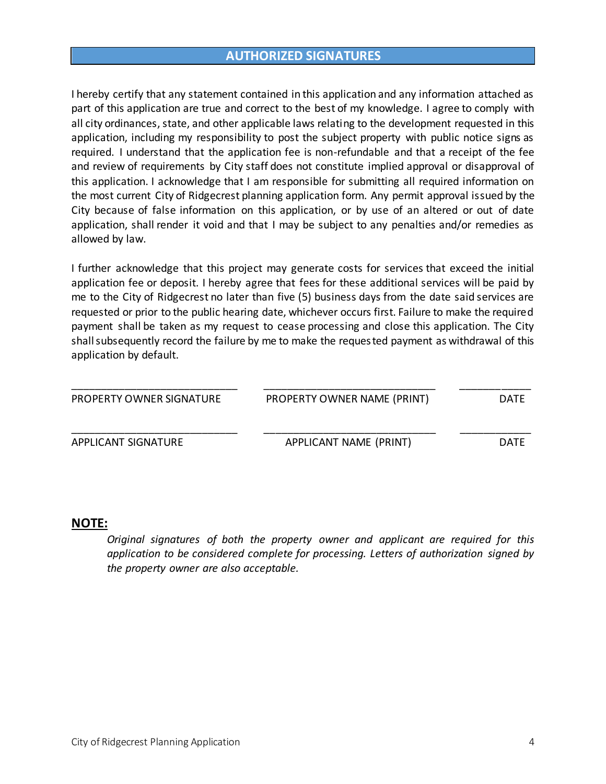# **AUTHORIZED SIGNATURES**

I hereby certify that any statement contained in this application and any information attached as part of this application are true and correct to the best of my knowledge. I agree to comply with all city ordinances, state, and other applicable laws relating to the development requested in this application, including my responsibility to post the subject property with public notice signs as required. I understand that the application fee is non-refundable and that a receipt of the fee and review of requirements by City staff does not constitute implied approval or disapproval of this application. I acknowledge that I am responsible for submitting all required information on the most current City of Ridgecrest planning application form. Any permit approval issued by the City because of false information on this application, or by use of an altered or out of date application, shall render it void and that I may be subject to any penalties and/or remedies as allowed by law.

I further acknowledge that this project may generate costs for services that exceed the initial application fee or deposit. I hereby agree that fees for these additional services will be paid by me to the City of Ridgecrest no later than five (5) business days from the date said services are requested or prior to the public hearing date, whichever occurs first. Failure to make the required payment shall be taken as my request to cease processing and close this application. The City shall subsequently record the failure by me to make the requested payment as withdrawal of this application by default.

| PROPERTY OWNER SIGNATURE | PROPERTY OWNER NAME (PRINT) | <b>DATE</b> |
|--------------------------|-----------------------------|-------------|
| APPLICANT SIGNATURE      | APPLICANT NAME (PRINT)      | <b>DATF</b> |

#### **NOTE:**

*Original signatures of both the property owner and applicant are required for this application to be considered complete for processing. Letters of authorization signed by the property owner are also acceptable.*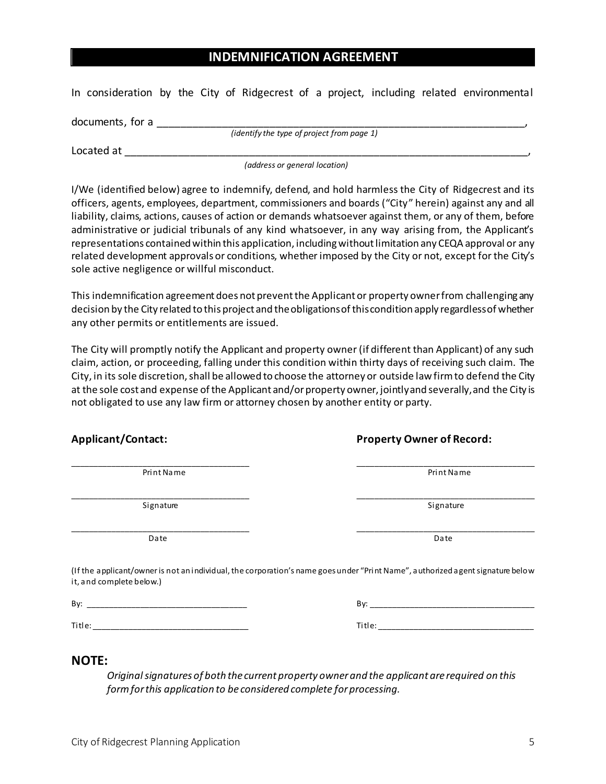# **INDEMNIFICATION AGREEMENT**

In consideration by the City of Ridgecrest of a project, including related environmental

documents, for a *(identify the type of project from page 1)*

Located at  $\Box$ 

*(address or general location)*

I/We (identified below) agree to indemnify, defend, and hold harmless the City of Ridgecrest and its officers, agents, employees, department, commissioners and boards ("City" herein) against any and all liability, claims, actions, causes of action or demands whatsoever against them, or any of them, before administrative or judicial tribunals of any kind whatsoever, in any way arising from, the Applicant's representations contained within this application, including without limitation any CEQA approval or any related development approvals or conditions, whether imposed by the City or not, except for the City's sole active negligence or willful misconduct.

This indemnification agreement does not prevent the Applicant or property owner from challenging any decision by the City related to this project and the obligations of this condition apply regardless of whether any other permits or entitlements are issued.

The City will promptly notify the Applicant and property owner (if different than Applicant) of any such claim, action, or proceeding, falling under this condition within thirty days of receiving such claim. The City, in its sole discretion, shall be allowed to choose the attorney or outside law firm to defend the City at the sole cost and expense of the Applicant and/or property owner, jointly and severally, and the City is not obligated to use any law firm or attorney chosen by another entity or party.

\_\_\_\_\_\_\_\_\_\_\_\_\_\_\_\_\_\_\_\_\_\_\_\_\_\_\_\_\_\_\_\_\_\_\_\_\_\_\_\_ \_\_\_\_\_\_\_\_\_\_\_\_\_\_\_\_\_\_\_\_\_\_\_\_\_\_\_\_\_\_\_\_\_\_\_\_\_\_\_\_ Print Name Print Name Print Name Print Name Print Name Print Name Print Name Print Name Print Name Print Name P

\_\_\_\_\_\_\_\_\_\_\_\_\_\_\_\_\_\_\_\_\_\_\_\_\_\_\_\_\_\_\_\_\_\_\_\_\_\_\_\_ \_\_\_\_\_\_\_\_\_\_\_\_\_\_\_\_\_\_\_\_\_\_\_\_\_\_\_\_\_\_\_\_\_\_\_\_\_\_\_\_ Signature Signature Signature Signature Signature Signature

\_\_\_\_\_\_\_\_\_\_\_\_\_\_\_\_\_\_\_\_\_\_\_\_\_\_\_\_\_\_\_\_\_\_\_\_\_\_\_\_ \_\_\_\_\_\_\_\_\_\_\_\_\_\_\_\_\_\_\_\_\_\_\_\_\_\_\_\_\_\_\_\_\_\_\_\_\_\_\_\_ Date Date

## **Applicant/Contact: Property Owner of Record:**

(If the applicant/owner is not an individual, the corporation's name goes under "Print Name", authorized agent signature below it, and complete below.)

| Bv: |  |
|-----|--|
|     |  |

## **NOTE:**

*Original signatures of both the current property owner and the applicant are required on this form for this application to be considered complete for processing.*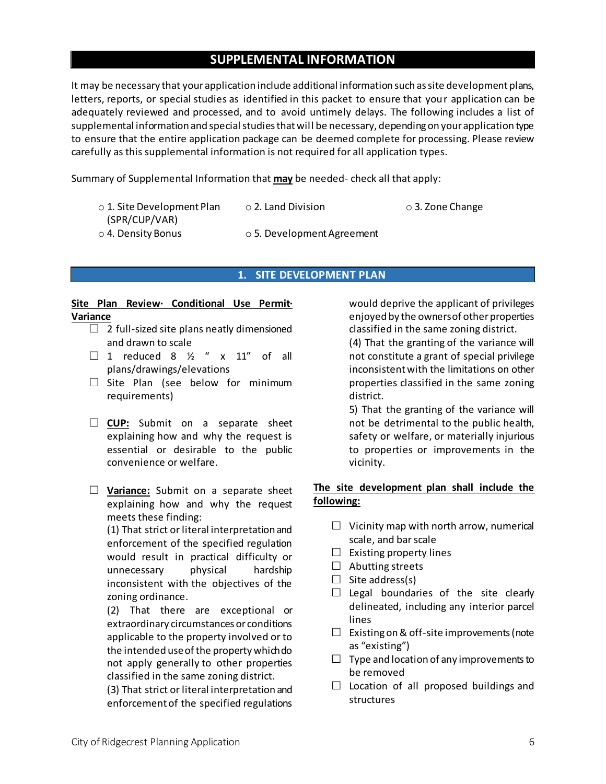# **SUPPLEMENTAL INFORMATION**

It may be necessary that your application include additional information such as site development plans, letters, reports, or special studies as identified in this packet to ensure that your application can be adequately reviewed and processed, and to avoid untimely delays. The following includes a list of supplemental information and special studies that will be necessary, depending on your application type to ensure that the entire application package can be deemed complete for processing. Please review carefully as this supplemental information is not required for all application types.

Summary of Supplemental Information that **may** be needed- check all that apply:

| $\circ$ 1. Site Development Plan | $\circ$ 2. Land Division         | $\circ$ 3. Zone Change |
|----------------------------------|----------------------------------|------------------------|
| (SPR/CUP/VAR)                    |                                  |                        |
| $\circ$ 4. Density Bonus         | $\circ$ 5. Development Agreement |                        |

#### **1. SITE DEVELOPMENT PLAN**

#### **Site Plan Review· Conditional Use Permit· Variance**

- $\Box$  2 full-sized site plans neatly dimensioned and drawn to scale
- $\Box$  1 reduced 8  $\frac{1}{2}$  " x 11" of all plans/drawings/elevations
- $\square$  Site Plan (see below for minimum requirements)
- **CUP:** Submit on a separate sheet explaining how and why the request is essential or desirable to the public convenience or welfare.
- **Variance:** Submit on a separate sheet explaining how and why the request meets these finding:

(1) That strict or literal interpretation and enforcement of the specified regulation would result in practical difficulty or unnecessary physical hardship inconsistent with the objectives of the zoning ordinance.

(2) That there are exceptional or extraordinary circumstances or conditions applicable to the property involved or to the intended use of the property which do not apply generally to other properties classified in the same zoning district.

(3) That strict or literal interpretation and enforcement of the specified regulations would deprive the applicant of privileges enjoyed by the owners of other properties classified in the same zoning district.

(4) That the granting of the variance will not constitute a grant of special privilege inconsistent with the limitations on other properties classified in the same zoning district.

5) That the granting of the variance will not be detrimental to the public health, safety or welfare, or materially injurious to properties or improvements in the vicinity.

## **The site development plan shall include the following:**

- $\Box$  Vicinity map with north arrow, numerical scale, and bar scale
- $\Box$  Existing property lines
- $\Box$  Abutting streets
- $\Box$  Site address(s)
- $\Box$  Legal boundaries of the site clearly delineated, including any interior parcel lines
- $\Box$  Existing on & off-site improvements (note as "existing")
- $\Box$  Type and location of any improvements to be removed
- $\Box$  Location of all proposed buildings and structures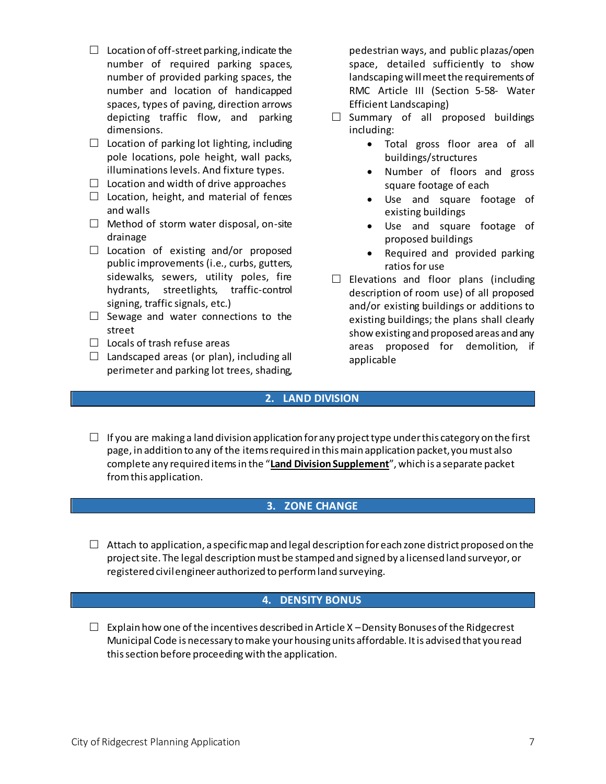- $\Box$  Location of off-street parking, indicate the number of required parking spaces, number of provided parking spaces, the number and location of handicapped spaces, types of paving, direction arrows depicting traffic flow, and parking dimensions.
- $\Box$  Location of parking lot lighting, including pole locations, pole height, wall packs, illuminations levels. And fixture types.
- $\Box$  Location and width of drive approaches
- $\Box$  Location, height, and material of fences and walls
- $\Box$  Method of storm water disposal, on-site drainage
- $\Box$  Location of existing and/or proposed public improvements (i.e., curbs, gutters, sidewalks, sewers, utility poles, fire hydrants, streetlights, traffic-control signing, traffic signals, etc.)
- $\Box$  Sewage and water connections to the street
- $\Box$  Locals of trash refuse areas
- $\Box$  Landscaped areas (or plan), including all perimeter and parking lot trees, shading,

pedestrian ways, and public plazas/open space, detailed sufficiently to show landscaping will meet the requirements of RMC Article III (Section 5-58- Water Efficient Landscaping)

- $\Box$  Summary of all proposed buildings including:
	- Total gross floor area of all buildings/structures
	- Number of floors and gross square footage of each
	- Use and square footage of existing buildings
	- Use and square footage of proposed buildings
	- Required and provided parking ratios for use
- $\square$  Elevations and floor plans (including description of room use) of all proposed and/or existing buildings or additions to existing buildings; the plans shall clearly show existing and proposed areas and any areas proposed for demolition, if applicable

## **2. LAND DIVISION**

 $\Box$  If you are making a land division application for any project type under this category on the first page, in addition to any of the items required in this main application packet, you must also complete any required items in the "**Land Division Supplement**", which is a separate packet from this application.

## **3. ZONE CHANGE**

 $\Box$  Attach to application, a specific map and legal description for each zone district proposed on the project site. The legal description must be stamped and signed by a licensed land surveyor, or registered civil engineer authorized to perform land surveying.

## **4. DENSITY BONUS**

 $\Box$  Explain how one of the incentives described in Article X – Density Bonuses of the Ridgecrest Municipal Code is necessary to make your housing units affordable. It is advised that you read this section before proceeding with the application.